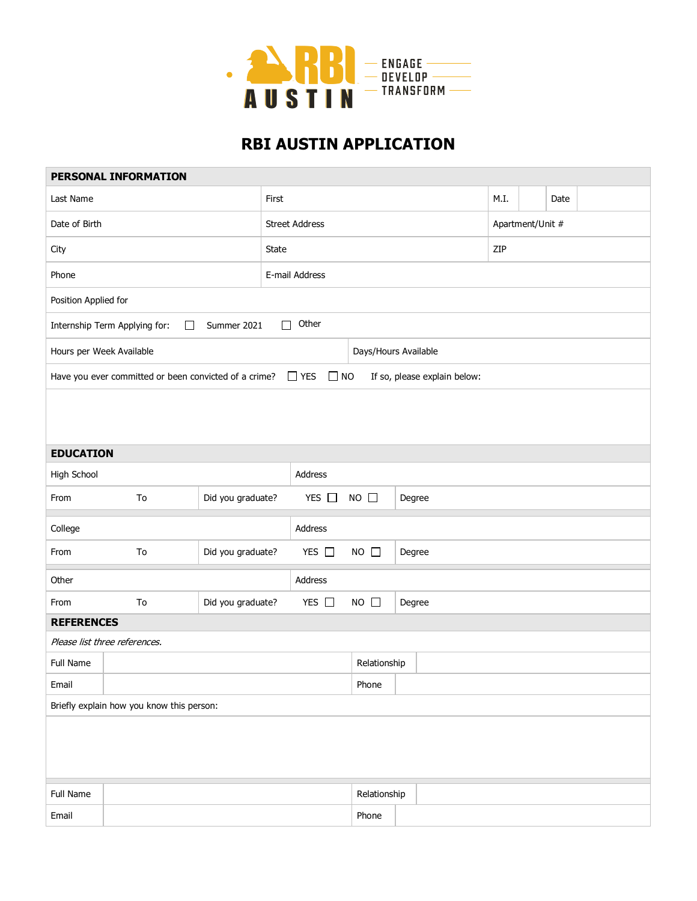

## **RBI AUSTIN APPLICATION**

|                                                                                     | PERSONAL INFORMATION                      |                   |                       |                |                      |        |                              |                  |      |  |  |
|-------------------------------------------------------------------------------------|-------------------------------------------|-------------------|-----------------------|----------------|----------------------|--------|------------------------------|------------------|------|--|--|
| Last Name                                                                           | First                                     |                   |                       |                |                      |        | M.I.                         |                  | Date |  |  |
| Date of Birth                                                                       |                                           |                   | <b>Street Address</b> |                |                      |        |                              | Apartment/Unit # |      |  |  |
| City                                                                                |                                           |                   | State                 |                |                      |        |                              | ZIP              |      |  |  |
| Phone                                                                               |                                           |                   |                       | E-mail Address |                      |        |                              |                  |      |  |  |
| Position Applied for                                                                |                                           |                   |                       |                |                      |        |                              |                  |      |  |  |
|                                                                                     | Internship Term Applying for:<br>□        | Summer 2021       | $\Box$                | Other          |                      |        |                              |                  |      |  |  |
| Hours per Week Available                                                            |                                           |                   |                       |                | Days/Hours Available |        |                              |                  |      |  |  |
| $\Box$ YES<br>$\square$ NO<br>Have you ever committed or been convicted of a crime? |                                           |                   |                       |                |                      |        | If so, please explain below: |                  |      |  |  |
|                                                                                     |                                           |                   |                       |                |                      |        |                              |                  |      |  |  |
| <b>EDUCATION</b>                                                                    |                                           |                   |                       |                |                      |        |                              |                  |      |  |  |
| High School                                                                         |                                           |                   |                       | Address        |                      |        |                              |                  |      |  |  |
| From                                                                                | To                                        | Did you graduate? |                       | YES $\Box$     | $NO$ $\Box$          | Degree |                              |                  |      |  |  |
| College                                                                             |                                           |                   |                       | Address        |                      |        |                              |                  |      |  |  |
| From                                                                                | To                                        | Did you graduate? |                       | YES $\Box$     | $NO$ $\square$       | Degree |                              |                  |      |  |  |
| Other                                                                               |                                           |                   |                       | Address        |                      |        |                              |                  |      |  |  |
| From                                                                                | To                                        | Did you graduate? |                       | YES $\square$  | $NO$ $\Box$          | Degree |                              |                  |      |  |  |
| <b>REFERENCES</b>                                                                   |                                           |                   |                       |                |                      |        |                              |                  |      |  |  |
|                                                                                     | Please list three references.             |                   |                       |                |                      |        |                              |                  |      |  |  |
| Full Name                                                                           |                                           |                   |                       |                | Relationship         |        |                              |                  |      |  |  |
| Email                                                                               |                                           |                   |                       |                | Phone                |        |                              |                  |      |  |  |
|                                                                                     | Briefly explain how you know this person: |                   |                       |                |                      |        |                              |                  |      |  |  |
|                                                                                     |                                           |                   |                       |                |                      |        |                              |                  |      |  |  |
| Full Name                                                                           |                                           |                   |                       |                | Relationship         |        |                              |                  |      |  |  |
| Email                                                                               |                                           |                   |                       |                | Phone                |        |                              |                  |      |  |  |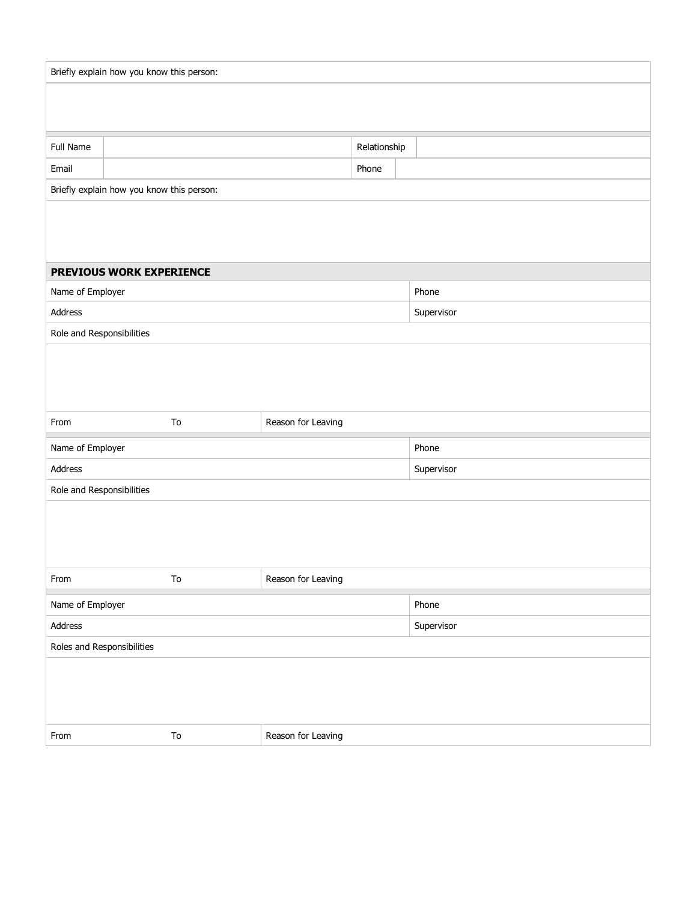|                            | Briefly explain how you know this person: |                    |              |            |
|----------------------------|-------------------------------------------|--------------------|--------------|------------|
|                            |                                           |                    |              |            |
|                            |                                           |                    |              |            |
| Full Name                  |                                           |                    | Relationship |            |
| Email                      |                                           |                    | Phone        |            |
|                            | Briefly explain how you know this person: |                    |              |            |
|                            |                                           |                    |              |            |
|                            |                                           |                    |              |            |
|                            |                                           |                    |              |            |
| Name of Employer           | PREVIOUS WORK EXPERIENCE                  |                    |              | Phone      |
| Address                    |                                           |                    |              | Supervisor |
| Role and Responsibilities  |                                           |                    |              |            |
|                            |                                           |                    |              |            |
|                            |                                           |                    |              |            |
|                            |                                           |                    |              |            |
| From                       | To                                        | Reason for Leaving |              |            |
|                            |                                           |                    |              |            |
|                            |                                           |                    |              |            |
| Name of Employer           |                                           |                    |              | Phone      |
| Address                    |                                           |                    |              | Supervisor |
| Role and Responsibilities  |                                           |                    |              |            |
|                            |                                           |                    |              |            |
|                            |                                           |                    |              |            |
| From                       | To                                        | Reason for Leaving |              |            |
| Name of Employer           |                                           |                    |              | Phone      |
| Address                    |                                           |                    |              | Supervisor |
| Roles and Responsibilities |                                           |                    |              |            |
|                            |                                           |                    |              |            |
|                            |                                           |                    |              |            |
|                            |                                           |                    |              |            |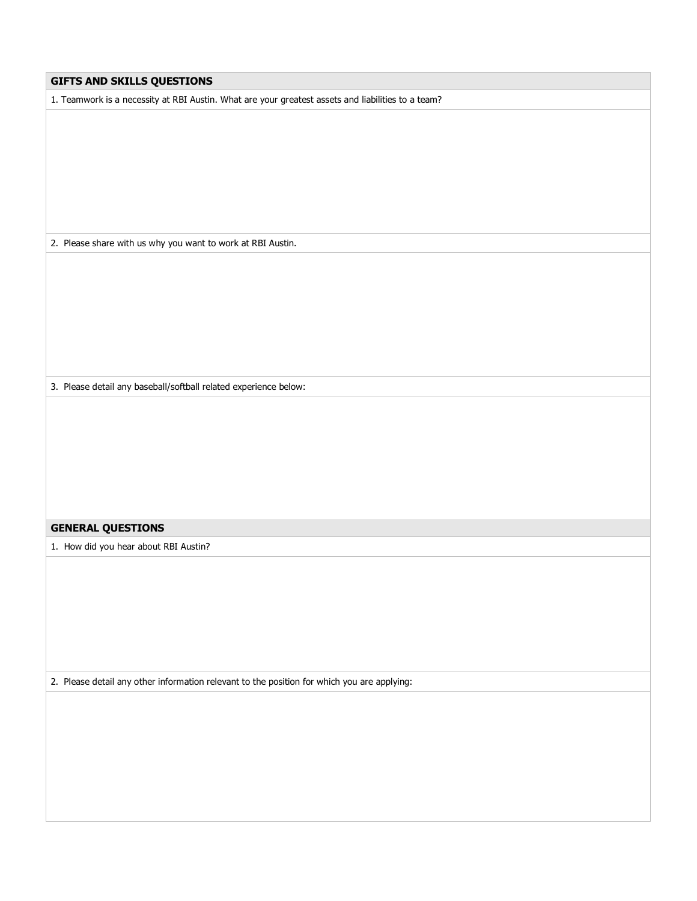| GIFTS AND SKILLS QUESTIONS                                                                         |
|----------------------------------------------------------------------------------------------------|
| 1. Teamwork is a necessity at RBI Austin. What are your greatest assets and liabilities to a team? |
|                                                                                                    |
|                                                                                                    |
|                                                                                                    |
|                                                                                                    |
|                                                                                                    |
|                                                                                                    |
| 2. Please share with us why you want to work at RBI Austin.                                        |
|                                                                                                    |
|                                                                                                    |
|                                                                                                    |
|                                                                                                    |
|                                                                                                    |
|                                                                                                    |
|                                                                                                    |
| 3. Please detail any baseball/softball related experience below:                                   |
|                                                                                                    |
|                                                                                                    |
|                                                                                                    |
|                                                                                                    |
|                                                                                                    |
|                                                                                                    |
| <b>GENERAL QUESTIONS</b>                                                                           |
| 1. How did you hear about RBI Austin?                                                              |
|                                                                                                    |
|                                                                                                    |
|                                                                                                    |
|                                                                                                    |
|                                                                                                    |
|                                                                                                    |
| 2. Please detail any other information relevant to the position for which you are applying:        |
|                                                                                                    |
|                                                                                                    |
|                                                                                                    |
|                                                                                                    |
|                                                                                                    |
|                                                                                                    |
|                                                                                                    |